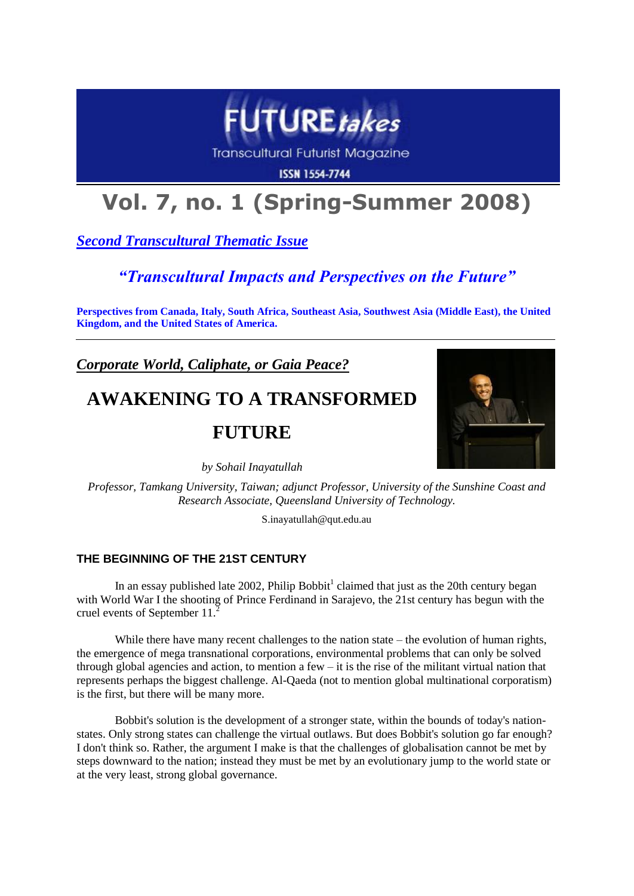

**Transcultural Futurist Magazine** 

**ISSN 1554-7744** 

# **Vol. 7, no. 1 (Spring-Summer 2008)**

*Second Transcultural Thematic Issue*

### *"Transcultural Impacts and Perspectives on the Future"*

**Perspectives from Canada, Italy, South Africa, Southeast Asia, Southwest Asia (Middle East), the United Kingdom, and the United States of America.**

*Corporate World, Caliphate, or Gaia Peace?*

## **AWAKENING TO A TRANSFORMED**

### **FUTURE**

*by Sohail Inayatullah*

*Professor, Tamkang University, Taiwan; adjunct Professor, University of the Sunshine Coast and Research Associate, Queensland University of Technology.*

S.inayatullah@qut.edu.au

### **THE BEGINNING OF THE 21ST CENTURY**

In an essay published late 2002, Philip Bobbit<sup>1</sup> claimed that just as the 20th century began with World War I the shooting of Prince Ferdinand in Sarajevo, the 21st century has begun with the cruel events of September 11.<sup>2</sup>

While there have many recent challenges to the nation state – the evolution of human rights, the emergence of mega transnational corporations, environmental problems that can only be solved through global agencies and action, to mention a few – it is the rise of the militant virtual nation that represents perhaps the biggest challenge. Al-Qaeda (not to mention global multinational corporatism) is the first, but there will be many more.

Bobbit's solution is the development of a stronger state, within the bounds of today's nationstates. Only strong states can challenge the virtual outlaws. But does Bobbit's solution go far enough? I don't think so. Rather, the argument I make is that the challenges of globalisation cannot be met by steps downward to the nation; instead they must be met by an evolutionary jump to the world state or at the very least, strong global governance.

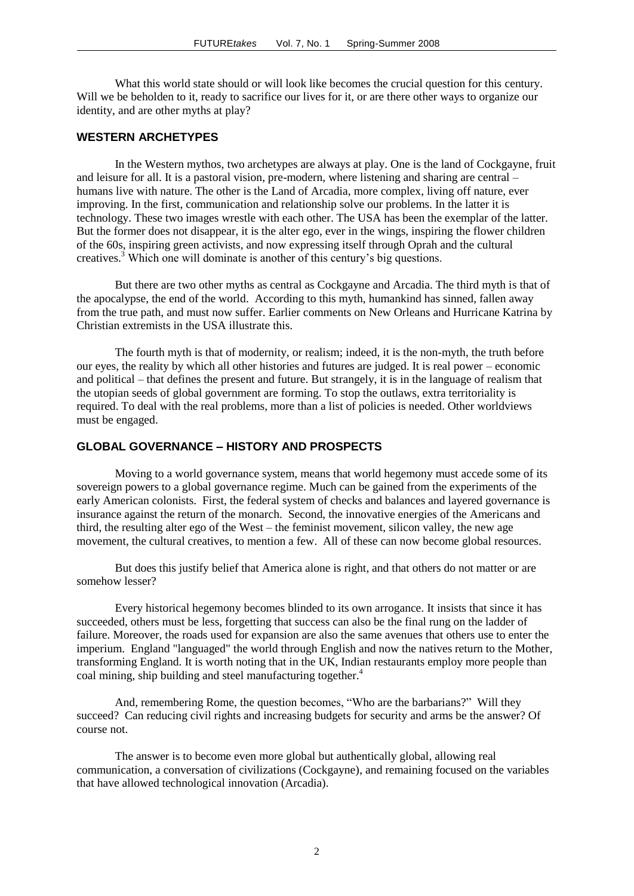What this world state should or will look like becomes the crucial question for this century. Will we be beholden to it, ready to sacrifice our lives for it, or are there other ways to organize our identity, and are other myths at play?

#### **WESTERN ARCHETYPES**

In the Western mythos, two archetypes are always at play. One is the land of Cockgayne, fruit and leisure for all. It is a pastoral vision, pre-modern, where listening and sharing are central – humans live with nature. The other is the Land of Arcadia, more complex, living off nature, ever improving. In the first, communication and relationship solve our problems. In the latter it is technology. These two images wrestle with each other. The USA has been the exemplar of the latter. But the former does not disappear, it is the alter ego, ever in the wings, inspiring the flower children of the 60s, inspiring green activists, and now expressing itself through Oprah and the cultural creatives.<sup>3</sup> Which one will dominate is another of this century"s big questions.

But there are two other myths as central as Cockgayne and Arcadia. The third myth is that of the apocalypse, the end of the world. According to this myth, humankind has sinned, fallen away from the true path, and must now suffer. Earlier comments on New Orleans and Hurricane Katrina by Christian extremists in the USA illustrate this.

The fourth myth is that of modernity, or realism; indeed, it is the non-myth, the truth before our eyes, the reality by which all other histories and futures are judged. It is real power – economic and political – that defines the present and future. But strangely, it is in the language of realism that the utopian seeds of global government are forming. To stop the outlaws, extra territoriality is required. To deal with the real problems, more than a list of policies is needed. Other worldviews must be engaged.

#### **GLOBAL GOVERNANCE – HISTORY AND PROSPECTS**

Moving to a world governance system, means that world hegemony must accede some of its sovereign powers to a global governance regime. Much can be gained from the experiments of the early American colonists. First, the federal system of checks and balances and layered governance is insurance against the return of the monarch. Second, the innovative energies of the Americans and third, the resulting alter ego of the West – the feminist movement, silicon valley, the new age movement, the cultural creatives, to mention a few. All of these can now become global resources.

But does this justify belief that America alone is right, and that others do not matter or are somehow lesser?

Every historical hegemony becomes blinded to its own arrogance. It insists that since it has succeeded, others must be less, forgetting that success can also be the final rung on the ladder of failure. Moreover, the roads used for expansion are also the same avenues that others use to enter the imperium. England "languaged" the world through English and now the natives return to the Mother, transforming England. It is worth noting that in the UK, Indian restaurants employ more people than coal mining, ship building and steel manufacturing together.<sup>4</sup>

And, remembering Rome, the question becomes, "Who are the barbarians?" Will they succeed? Can reducing civil rights and increasing budgets for security and arms be the answer? Of course not.

The answer is to become even more global but authentically global, allowing real communication, a conversation of civilizations (Cockgayne), and remaining focused on the variables that have allowed technological innovation (Arcadia).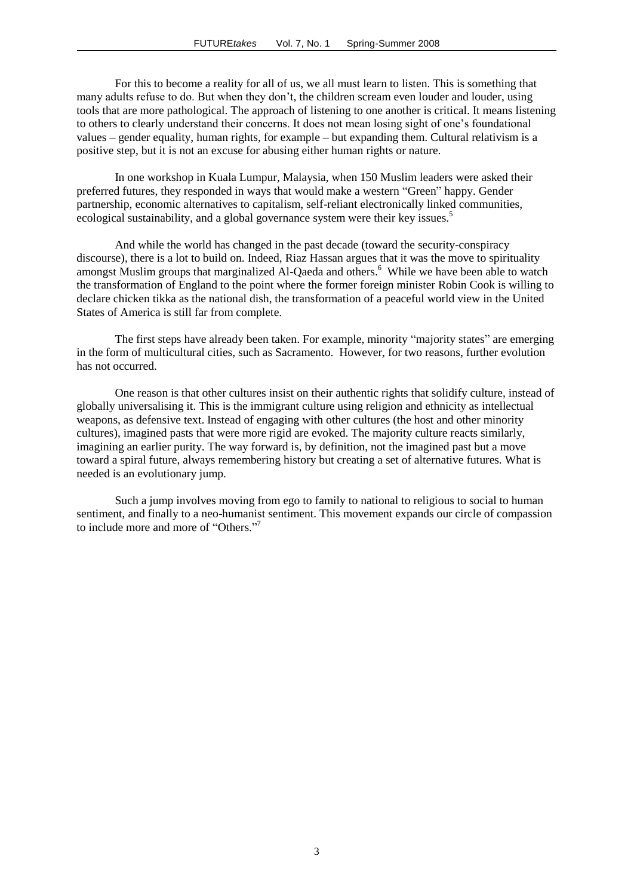For this to become a reality for all of us, we all must learn to listen. This is something that many adults refuse to do. But when they don"t, the children scream even louder and louder, using tools that are more pathological. The approach of listening to one another is critical. It means listening to others to clearly understand their concerns. It does not mean losing sight of one"s foundational values – gender equality, human rights, for example – but expanding them. Cultural relativism is a positive step, but it is not an excuse for abusing either human rights or nature.

In one workshop in Kuala Lumpur, Malaysia, when 150 Muslim leaders were asked their preferred futures, they responded in ways that would make a western "Green" happy. Gender partnership, economic alternatives to capitalism, self-reliant electronically linked communities, ecological sustainability, and a global governance system were their key issues.<sup>5</sup>

And while the world has changed in the past decade (toward the security-conspiracy discourse), there is a lot to build on. Indeed, Riaz Hassan argues that it was the move to spirituality amongst Muslim groups that marginalized Al-Qaeda and others.<sup>6</sup> While we have been able to watch the transformation of England to the point where the former foreign minister Robin Cook is willing to declare chicken tikka as the national dish, the transformation of a peaceful world view in the United States of America is still far from complete.

The first steps have already been taken. For example, minority "majority states" are emerging in the form of multicultural cities, such as Sacramento. However, for two reasons, further evolution has not occurred.

One reason is that other cultures insist on their authentic rights that solidify culture, instead of globally universalising it. This is the immigrant culture using religion and ethnicity as intellectual weapons, as defensive text. Instead of engaging with other cultures (the host and other minority cultures), imagined pasts that were more rigid are evoked. The majority culture reacts similarly, imagining an earlier purity. The way forward is, by definition, not the imagined past but a move toward a spiral future, always remembering history but creating a set of alternative futures. What is needed is an evolutionary jump.

Such a jump involves moving from ego to family to national to religious to social to human sentiment, and finally to a neo-humanist sentiment. This movement expands our circle of compassion to include more and more of "Others." 7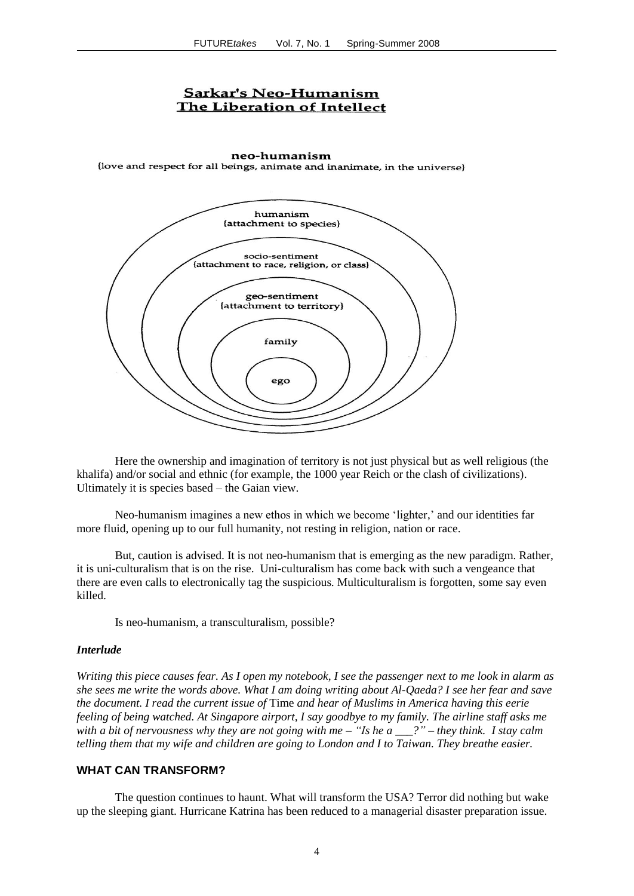#### **Sarkar's Neo-Humanism** The Liberation of Intellect

neo-humanism {love and respect for all beings, animate and inanimate, in the universe}



Here the ownership and imagination of territory is not just physical but as well religious (the khalifa) and/or social and ethnic (for example, the 1000 year Reich or the clash of civilizations). Ultimately it is species based – the Gaian view.

Neo-humanism imagines a new ethos in which we become 'lighter,' and our identities far more fluid, opening up to our full humanity, not resting in religion, nation or race.

But, caution is advised. It is not neo-humanism that is emerging as the new paradigm. Rather, it is uni-culturalism that is on the rise. Uni-culturalism has come back with such a vengeance that there are even calls to electronically tag the suspicious. Multiculturalism is forgotten, some say even killed.

Is neo-humanism, a transculturalism, possible?

#### *Interlude*

*Writing this piece causes fear. As I open my notebook, I see the passenger next to me look in alarm as she sees me write the words above. What I am doing writing about Al-Qaeda? I see her fear and save the document. I read the current issue of* Time *and hear of Muslims in America having this eerie feeling of being watched. At Singapore airport, I say goodbye to my family. The airline staff asks me with a bit of nervousness why they are not going with me – "Is he a \_\_\_?" – they think. I stay calm telling them that my wife and children are going to London and I to Taiwan. They breathe easier.*

#### **WHAT CAN TRANSFORM?**

The question continues to haunt. What will transform the USA? Terror did nothing but wake up the sleeping giant. Hurricane Katrina has been reduced to a managerial disaster preparation issue.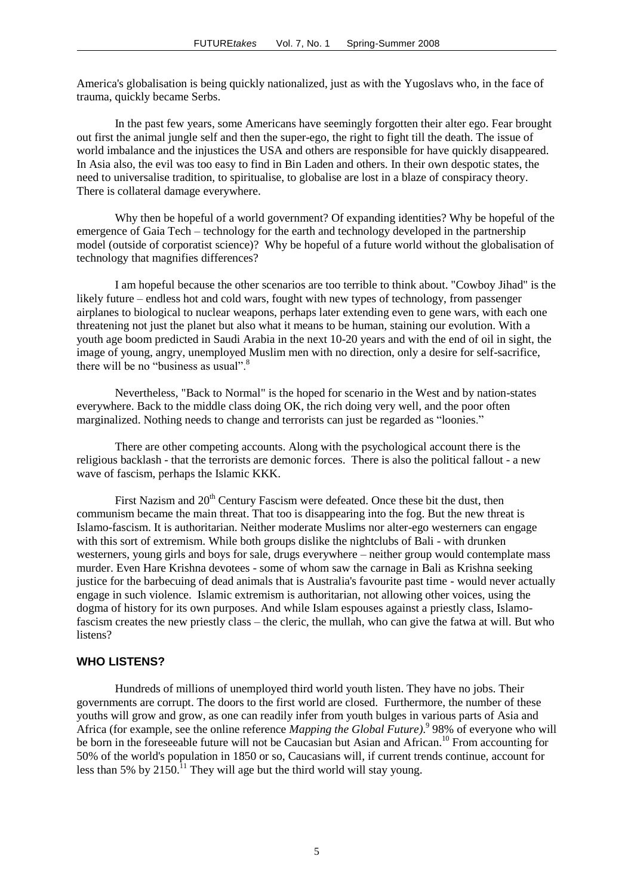America's globalisation is being quickly nationalized, just as with the Yugoslavs who, in the face of trauma, quickly became Serbs.

In the past few years, some Americans have seemingly forgotten their alter ego. Fear brought out first the animal jungle self and then the super-ego, the right to fight till the death. The issue of world imbalance and the injustices the USA and others are responsible for have quickly disappeared. In Asia also, the evil was too easy to find in Bin Laden and others. In their own despotic states, the need to universalise tradition, to spiritualise, to globalise are lost in a blaze of conspiracy theory. There is collateral damage everywhere.

Why then be hopeful of a world government? Of expanding identities? Why be hopeful of the emergence of Gaia Tech – technology for the earth and technology developed in the partnership model (outside of corporatist science)? Why be hopeful of a future world without the globalisation of technology that magnifies differences?

I am hopeful because the other scenarios are too terrible to think about. "Cowboy Jihad" is the likely future – endless hot and cold wars, fought with new types of technology, from passenger airplanes to biological to nuclear weapons, perhaps later extending even to gene wars, with each one threatening not just the planet but also what it means to be human, staining our evolution. With a youth age boom predicted in Saudi Arabia in the next 10-20 years and with the end of oil in sight, the image of young, angry, unemployed Muslim men with no direction, only a desire for self-sacrifice, there will be no "business as usual".<sup>8</sup>

Nevertheless, "Back to Normal" is the hoped for scenario in the West and by nation-states everywhere. Back to the middle class doing OK, the rich doing very well, and the poor often marginalized. Nothing needs to change and terrorists can just be regarded as "loonies."

There are other competing accounts. Along with the psychological account there is the religious backlash - that the terrorists are demonic forces. There is also the political fallout - a new wave of fascism, perhaps the Islamic KKK.

First Nazism and 20<sup>th</sup> Century Fascism were defeated. Once these bit the dust, then communism became the main threat. That too is disappearing into the fog. But the new threat is Islamo-fascism. It is authoritarian. Neither moderate Muslims nor alter-ego westerners can engage with this sort of extremism. While both groups dislike the nightclubs of Bali - with drunken westerners, young girls and boys for sale, drugs everywhere – neither group would contemplate mass murder. Even Hare Krishna devotees - some of whom saw the carnage in Bali as Krishna seeking justice for the barbecuing of dead animals that is Australia's favourite past time - would never actually engage in such violence. Islamic extremism is authoritarian, not allowing other voices, using the dogma of history for its own purposes. And while Islam espouses against a priestly class, Islamofascism creates the new priestly class – the cleric, the mullah, who can give the fatwa at will. But who listens?

#### **WHO LISTENS?**

Hundreds of millions of unemployed third world youth listen. They have no jobs. Their governments are corrupt. The doors to the first world are closed. Furthermore, the number of these youths will grow and grow, as one can readily infer from youth bulges in various parts of Asia and Africa (for example, see the online reference *Mapping the Global Future)*. 9 98% of everyone who will be born in the foreseeable future will not be Caucasian but Asian and African.<sup>10</sup> From accounting for 50% of the world's population in 1850 or so, Caucasians will, if current trends continue, account for less than 5% by  $2150<sup>11</sup>$  They will age but the third world will stay young.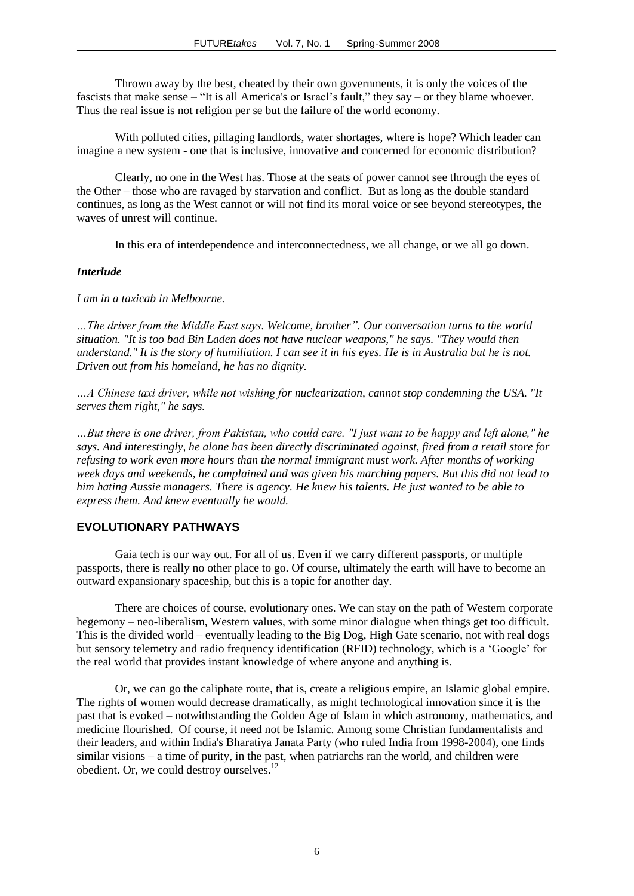Thrown away by the best, cheated by their own governments, it is only the voices of the fascists that make sense – "It is all America's or Israel"s fault," they say – or they blame whoever. Thus the real issue is not religion per se but the failure of the world economy.

With polluted cities, pillaging landlords, water shortages, where is hope? Which leader can imagine a new system - one that is inclusive, innovative and concerned for economic distribution?

Clearly, no one in the West has. Those at the seats of power cannot see through the eyes of the Other – those who are ravaged by starvation and conflict. But as long as the double standard continues, as long as the West cannot or will not find its moral voice or see beyond stereotypes, the waves of unrest will continue.

In this era of interdependence and interconnectedness, we all change, or we all go down.

#### *Interlude*

*I am in a taxicab in Melbourne.* 

*…The driver from the Middle East says. Welcome, brother". Our conversation turns to the world situation. "It is too bad Bin Laden does not have nuclear weapons," he says. "They would then understand." It is the story of humiliation. I can see it in his eyes. He is in Australia but he is not. Driven out from his homeland, he has no dignity.* 

*…A Chinese taxi driver, while not wishing for nuclearization, cannot stop condemning the USA. "It serves them right," he says.* 

*…But there is one driver, from Pakistan, who could care. "I just want to be happy and left alone," he says. And interestingly, he alone has been directly discriminated against, fired from a retail store for refusing to work even more hours than the normal immigrant must work. After months of working week days and weekends, he complained and was given his marching papers. But this did not lead to him hating Aussie managers. There is agency. He knew his talents. He just wanted to be able to express them. And knew eventually he would.*

#### **EVOLUTIONARY PATHWAYS**

Gaia tech is our way out. For all of us. Even if we carry different passports, or multiple passports, there is really no other place to go. Of course, ultimately the earth will have to become an outward expansionary spaceship, but this is a topic for another day.

There are choices of course, evolutionary ones. We can stay on the path of Western corporate hegemony – neo-liberalism, Western values, with some minor dialogue when things get too difficult. This is the divided world – eventually leading to the Big Dog, High Gate scenario, not with real dogs but sensory telemetry and radio frequency identification (RFID) technology, which is a "Google" for the real world that provides instant knowledge of where anyone and anything is.

Or, we can go the caliphate route, that is, create a religious empire, an Islamic global empire. The rights of women would decrease dramatically, as might technological innovation since it is the past that is evoked – notwithstanding the Golden Age of Islam in which astronomy, mathematics, and medicine flourished. Of course, it need not be Islamic. Among some Christian fundamentalists and their leaders, and within India's Bharatiya Janata Party (who ruled India from 1998-2004), one finds similar visions – a time of purity, in the past, when patriarchs ran the world, and children were obedient. Or, we could destroy ourselves.<sup>12</sup>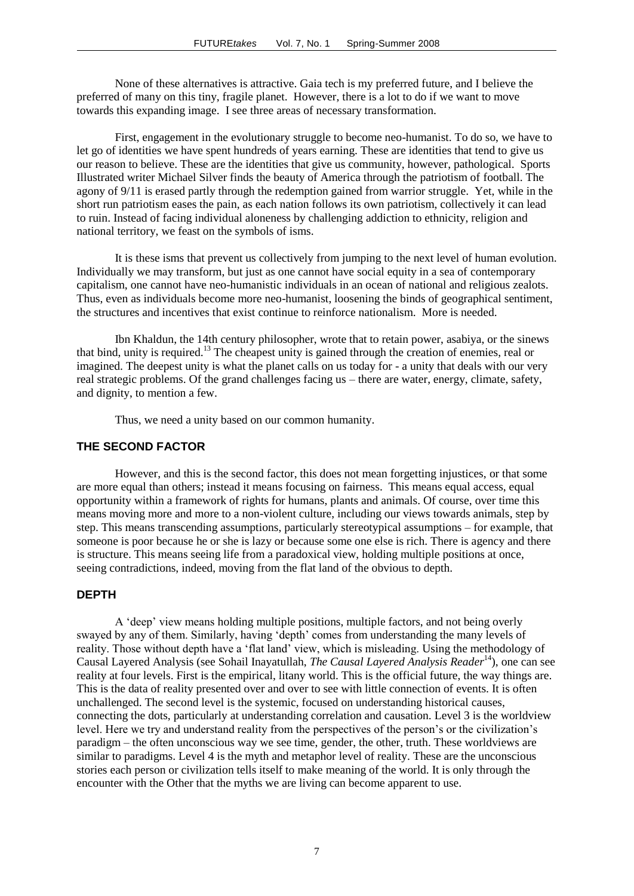None of these alternatives is attractive. Gaia tech is my preferred future, and I believe the preferred of many on this tiny, fragile planet. However, there is a lot to do if we want to move towards this expanding image. I see three areas of necessary transformation.

First, engagement in the evolutionary struggle to become neo-humanist. To do so, we have to let go of identities we have spent hundreds of years earning. These are identities that tend to give us our reason to believe. These are the identities that give us community, however, pathological. Sports Illustrated writer Michael Silver finds the beauty of America through the patriotism of football. The agony of 9/11 is erased partly through the redemption gained from warrior struggle. Yet, while in the short run patriotism eases the pain, as each nation follows its own patriotism, collectively it can lead to ruin. Instead of facing individual aloneness by challenging addiction to ethnicity, religion and national territory, we feast on the symbols of isms.

It is these isms that prevent us collectively from jumping to the next level of human evolution. Individually we may transform, but just as one cannot have social equity in a sea of contemporary capitalism, one cannot have neo-humanistic individuals in an ocean of national and religious zealots. Thus, even as individuals become more neo-humanist, loosening the binds of geographical sentiment, the structures and incentives that exist continue to reinforce nationalism. More is needed.

Ibn Khaldun, the 14th century philosopher, wrote that to retain power, asabiya, or the sinews that bind, unity is required.<sup>13</sup> The cheapest unity is gained through the creation of enemies, real or imagined. The deepest unity is what the planet calls on us today for - a unity that deals with our very real strategic problems. Of the grand challenges facing us – there are water, energy, climate, safety, and dignity, to mention a few.

Thus, we need a unity based on our common humanity.

#### **THE SECOND FACTOR**

However, and this is the second factor, this does not mean forgetting injustices, or that some are more equal than others; instead it means focusing on fairness. This means equal access, equal opportunity within a framework of rights for humans, plants and animals. Of course, over time this means moving more and more to a non-violent culture, including our views towards animals, step by step. This means transcending assumptions, particularly stereotypical assumptions – for example, that someone is poor because he or she is lazy or because some one else is rich. There is agency and there is structure. This means seeing life from a paradoxical view, holding multiple positions at once, seeing contradictions, indeed, moving from the flat land of the obvious to depth.

#### **DEPTH**

A "deep" view means holding multiple positions, multiple factors, and not being overly swayed by any of them. Similarly, having "depth" comes from understanding the many levels of reality. Those without depth have a "flat land" view, which is misleading. Using the methodology of Causal Layered Analysis (see Sohail Inayatullah, *The Causal Layered Analysis Reader*<sup>14</sup>), one can see reality at four levels. First is the empirical, litany world. This is the official future, the way things are. This is the data of reality presented over and over to see with little connection of events. It is often unchallenged. The second level is the systemic, focused on understanding historical causes, connecting the dots, particularly at understanding correlation and causation. Level 3 is the worldview level. Here we try and understand reality from the perspectives of the person's or the civilization's paradigm – the often unconscious way we see time, gender, the other, truth. These worldviews are similar to paradigms. Level 4 is the myth and metaphor level of reality. These are the unconscious stories each person or civilization tells itself to make meaning of the world. It is only through the encounter with the Other that the myths we are living can become apparent to use.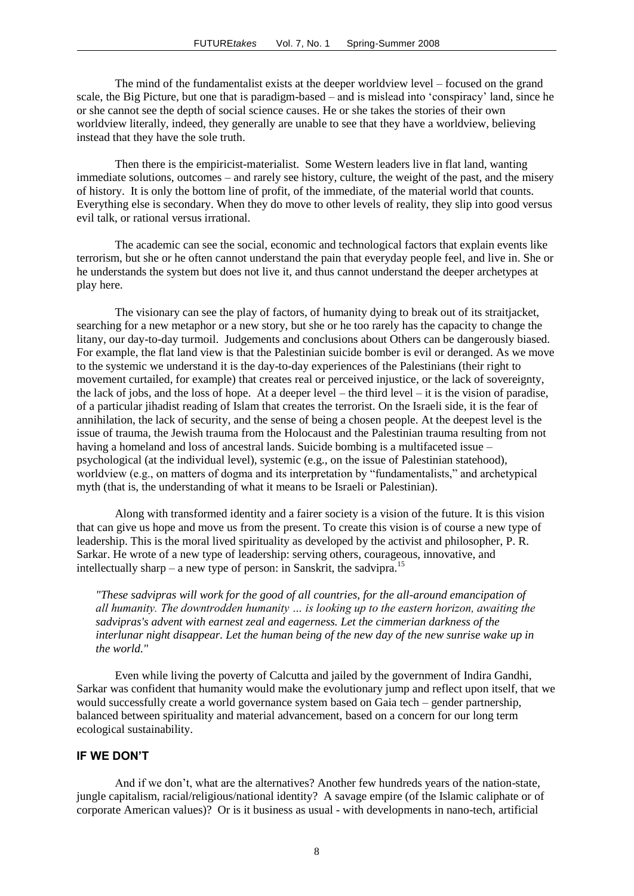The mind of the fundamentalist exists at the deeper worldview level – focused on the grand scale, the Big Picture, but one that is paradigm-based – and is mislead into "conspiracy" land, since he or she cannot see the depth of social science causes. He or she takes the stories of their own worldview literally, indeed, they generally are unable to see that they have a worldview, believing instead that they have the sole truth.

Then there is the empiricist-materialist. Some Western leaders live in flat land, wanting immediate solutions, outcomes – and rarely see history, culture, the weight of the past, and the misery of history. It is only the bottom line of profit, of the immediate, of the material world that counts. Everything else is secondary. When they do move to other levels of reality, they slip into good versus evil talk, or rational versus irrational.

The academic can see the social, economic and technological factors that explain events like terrorism, but she or he often cannot understand the pain that everyday people feel, and live in. She or he understands the system but does not live it, and thus cannot understand the deeper archetypes at play here.

The visionary can see the play of factors, of humanity dying to break out of its straitjacket, searching for a new metaphor or a new story, but she or he too rarely has the capacity to change the litany, our day-to-day turmoil. Judgements and conclusions about Others can be dangerously biased. For example, the flat land view is that the Palestinian suicide bomber is evil or deranged. As we move to the systemic we understand it is the day-to-day experiences of the Palestinians (their right to movement curtailed, for example) that creates real or perceived injustice, or the lack of sovereignty, the lack of jobs, and the loss of hope. At a deeper level – the third level – it is the vision of paradise, of a particular jihadist reading of Islam that creates the terrorist. On the Israeli side, it is the fear of annihilation, the lack of security, and the sense of being a chosen people. At the deepest level is the issue of trauma, the Jewish trauma from the Holocaust and the Palestinian trauma resulting from not having a homeland and loss of ancestral lands. Suicide bombing is a multifaceted issue – psychological (at the individual level), systemic (e.g., on the issue of Palestinian statehood), worldview (e.g., on matters of dogma and its interpretation by "fundamentalists," and archetypical myth (that is, the understanding of what it means to be Israeli or Palestinian).

Along with transformed identity and a fairer society is a vision of the future. It is this vision that can give us hope and move us from the present. To create this vision is of course a new type of leadership. This is the moral lived spirituality as developed by the activist and philosopher, P. R. Sarkar. He wrote of a new type of leadership: serving others, courageous, innovative, and intellectually sharp – a new type of person: in Sanskrit, the sadvipra.<sup>15</sup>

*"These sadvipras will work for the good of all countries, for the all-around emancipation of all humanity. The downtrodden humanity … is looking up to the eastern horizon, awaiting the sadvipras's advent with earnest zeal and eagerness. Let the cimmerian darkness of the interlunar night disappear. Let the human being of the new day of the new sunrise wake up in the world."* 

Even while living the poverty of Calcutta and jailed by the government of Indira Gandhi, Sarkar was confident that humanity would make the evolutionary jump and reflect upon itself, that we would successfully create a world governance system based on Gaia tech – gender partnership, balanced between spirituality and material advancement, based on a concern for our long term ecological sustainability.

#### **IF WE DON'T**

And if we don"t, what are the alternatives? Another few hundreds years of the nation-state, jungle capitalism, racial/religious/national identity? A savage empire (of the Islamic caliphate or of corporate American values)? Or is it business as usual - with developments in nano-tech, artificial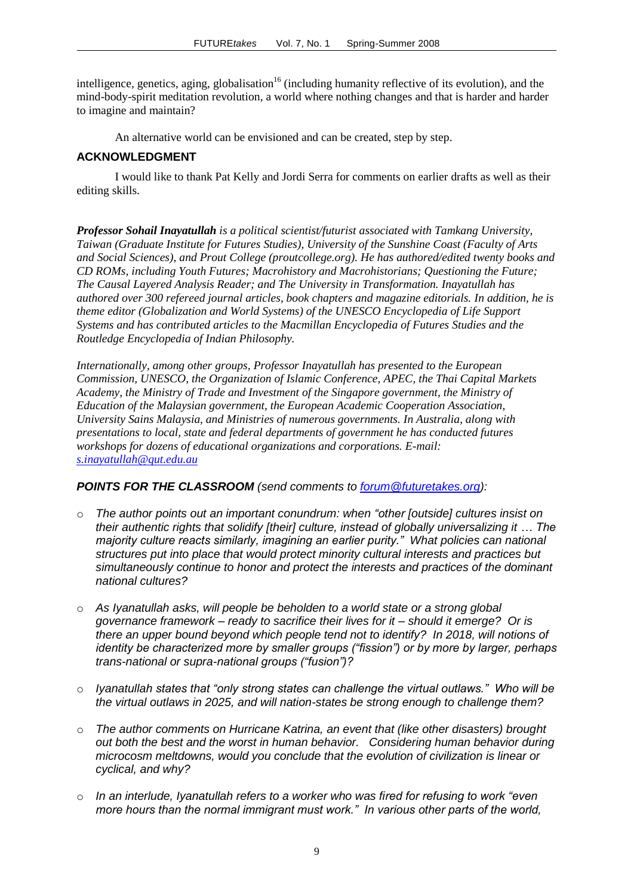intelligence, genetics, aging, globalisation<sup>16</sup> (including humanity reflective of its evolution), and the mind-body-spirit meditation revolution, a world where nothing changes and that is harder and harder to imagine and maintain?

An alternative world can be envisioned and can be created, step by step.

#### **ACKNOWLEDGMENT**

I would like to thank Pat Kelly and Jordi Serra for comments on earlier drafts as well as their editing skills.

*Professor Sohail Inayatullah is a political scientist/futurist associated with Tamkang University, Taiwan (Graduate Institute for Futures Studies), University of the Sunshine Coast (Faculty of Arts and Social Sciences), and Prout College (proutcollege.org). He has authored/edited twenty books and CD ROMs, including Youth Futures; Macrohistory and Macrohistorians; Questioning the Future; The Causal Layered Analysis Reader; and The University in Transformation. Inayatullah has authored over 300 refereed journal articles, book chapters and magazine editorials. In addition, he is theme editor (Globalization and World Systems) of the UNESCO Encyclopedia of Life Support Systems and has contributed articles to the Macmillan Encyclopedia of Futures Studies and the Routledge Encyclopedia of Indian Philosophy.*

*Internationally, among other groups, Professor Inayatullah has presented to the European Commission, UNESCO, the Organization of Islamic Conference, APEC, the Thai Capital Markets Academy, the Ministry of Trade and Investment of the Singapore government, the Ministry of Education of the Malaysian government, the European Academic Cooperation Association, University Sains Malaysia, and Ministries of numerous governments. In Australia, along with presentations to local, state and federal departments of government he has conducted futures workshops for dozens of educational organizations and corporations. E-mail: [s.inayatullah@qut.edu.au](http://mail.futuretakes.org/scripts/mail/compose.mail?compose=1&.ob=0af606bf3e7a8e78a3869ca5d51e3c3a09570994&composeto=s.inayatullah%40qut.edu.au)*

#### *POINTS FOR THE CLASSROOM (send comments to [forum@futuretakes.org\)](mailto:forum@futuretakes.org):*

- o *The author points out an important conundrum: when "other [outside] cultures insist on their authentic rights that solidify [their] culture, instead of globally universalizing it … The majority culture reacts similarly, imagining an earlier purity." What policies can national structures put into place that would protect minority cultural interests and practices but simultaneously continue to honor and protect the interests and practices of the dominant national cultures?*
- o *As Iyanatullah asks, will people be beholden to a world state or a strong global governance framework – ready to sacrifice their lives for it – should it emerge? Or is there an upper bound beyond which people tend not to identify? In 2018, will notions of identity be characterized more by smaller groups ("fission") or by more by larger, perhaps trans-national or supra-national groups ("fusion")?*
- o *Iyanatullah states that "only strong states can challenge the virtual outlaws." Who will be the virtual outlaws in 2025, and will nation-states be strong enough to challenge them?*
- o *The author comments on Hurricane Katrina, an event that (like other disasters) brought out both the best and the worst in human behavior. Considering human behavior during microcosm meltdowns, would you conclude that the evolution of civilization is linear or cyclical, and why?*
- o *In an interlude, Iyanatullah refers to a worker who was fired for refusing to work "even more hours than the normal immigrant must work." In various other parts of the world,*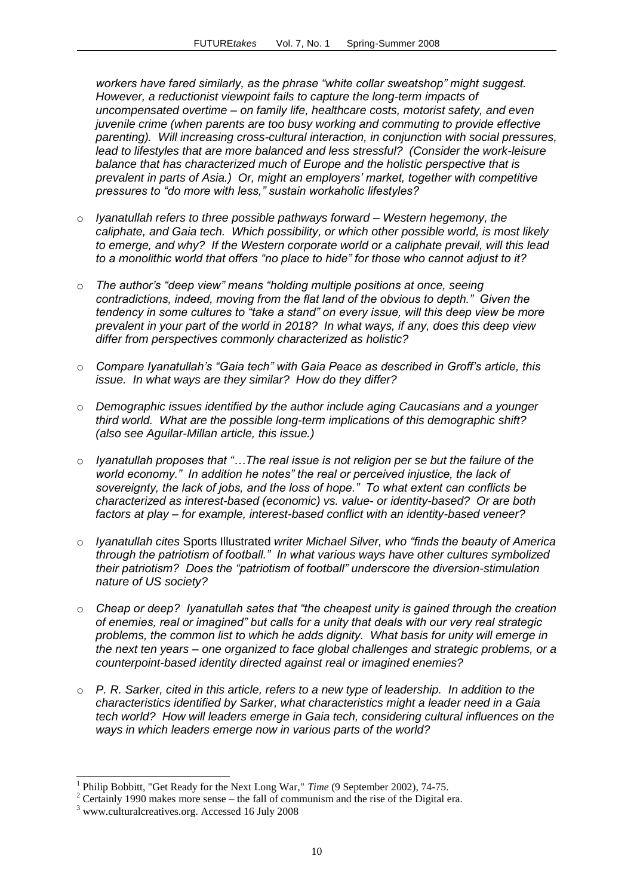*workers have fared similarly, as the phrase "white collar sweatshop" might suggest. However, a reductionist viewpoint fails to capture the long-term impacts of uncompensated overtime – on family life, healthcare costs, motorist safety, and even juvenile crime (when parents are too busy working and commuting to provide effective parenting). Will increasing cross-cultural interaction, in conjunction with social pressures, lead to lifestyles that are more balanced and less stressful? (Consider the work-leisure balance that has characterized much of Europe and the holistic perspective that is prevalent in parts of Asia.) Or, might an employers' market, together with competitive pressures to "do more with less," sustain workaholic lifestyles?*

- o *Iyanatullah refers to three possible pathways forward – Western hegemony, the caliphate, and Gaia tech. Which possibility, or which other possible world, is most likely to emerge, and why? If the Western corporate world or a caliphate prevail, will this lead to a monolithic world that offers "no place to hide" for those who cannot adjust to it?*
- o *The author's "deep view" means "holding multiple positions at once, seeing contradictions, indeed, moving from the flat land of the obvious to depth." Given the tendency in some cultures to "take a stand" on every issue, will this deep view be more prevalent in your part of the world in 2018? In what ways, if any, does this deep view differ from perspectives commonly characterized as holistic?*
- o *Compare Iyanatullah's "Gaia tech" with Gaia Peace as described in Groff's article, this issue. In what ways are they similar? How do they differ?*
- o *Demographic issues identified by the author include aging Caucasians and a younger third world. What are the possible long-term implications of this demographic shift? (also see Aguilar-Millan article, this issue.)*
- o *Iyanatullah proposes that "…The real issue is not religion per se but the failure of the world economy." In addition he notes" the real or perceived injustice, the lack of sovereignty, the lack of jobs, and the loss of hope." To what extent can conflicts be characterized as interest-based (economic) vs. value- or identity-based? Or are both factors at play – for example, interest-based conflict with an identity-based veneer?*
- o *Iyanatullah cites* Sports Illustrated *writer Michael Silver, who "finds the beauty of America through the patriotism of football." In what various ways have other cultures symbolized their patriotism? Does the "patriotism of football" underscore the diversion-stimulation nature of US society?*
- o *Cheap or deep? Iyanatullah sates that "the cheapest unity is gained through the creation of enemies, real or imagined" but calls for a unity that deals with our very real strategic problems, the common list to which he adds dignity. What basis for unity will emerge in the next ten years – one organized to face global challenges and strategic problems, or a counterpoint-based identity directed against real or imagined enemies?*
- o *P. R. Sarker, cited in this article, refers to a new type of leadership. In addition to the characteristics identified by Sarker, what characteristics might a leader need in a Gaia tech world? How will leaders emerge in Gaia tech, considering cultural influences on the ways in which leaders emerge now in various parts of the world?*

-

<sup>1</sup> Philip Bobbitt, "Get Ready for the Next Long War," *Time* (9 September 2002), 74-75.

<sup>&</sup>lt;sup>2</sup> Certainly 1990 makes more sense – the fall of communism and the rise of the Digital era.

<sup>3</sup> [www.culturalcreatives.org.](http://www.culturalcreatives.org/) Accessed 16 July 2008